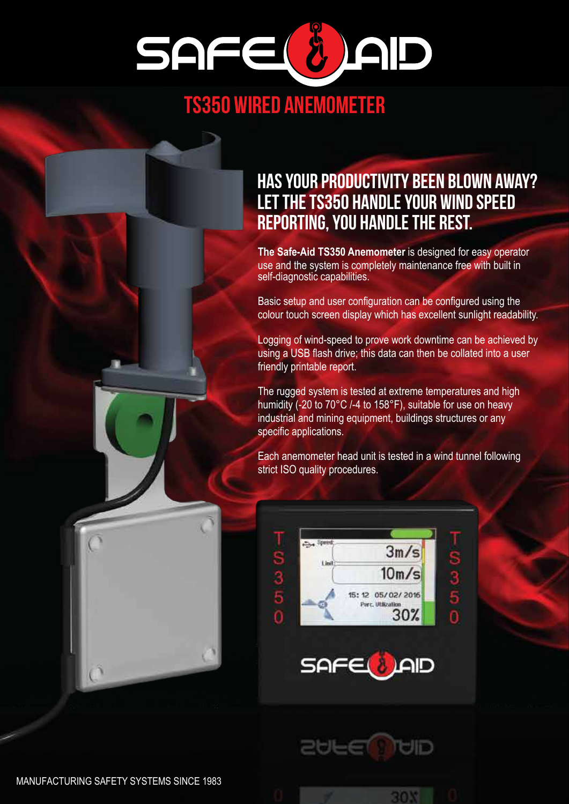# SAFE(8)AID

# TS350 WIREd ANEMOMETER

## HAS YOUR PRODUCTIVITY BEEN BLOWN AWAY? LET THE TS350 HANDLE YOUR WIND SPEED REPORTING, YOU HANDLE THE REST.

**The Safe-Aid TS350 Anemometer** is designed for easy operator use and the system is completely maintenance free with built in self-diagnostic capabilities.

Basic setup and user configuration can be configured using the colour touch screen display which has excellent sunlight readability.

Logging of wind-speed to prove work downtime can be achieved by using a USB flash drive; this data can then be collated into a user friendly printable report.

The rugged system is tested at extreme temperatures and high humidity (-20 to 70°C /-4 to 158°F), suitable for use on heavy industrial and mining equipment, buildings structures or any specific applications.

Each anemometer head unit is tested in a wind tunnel following strict ISO quality procedures.